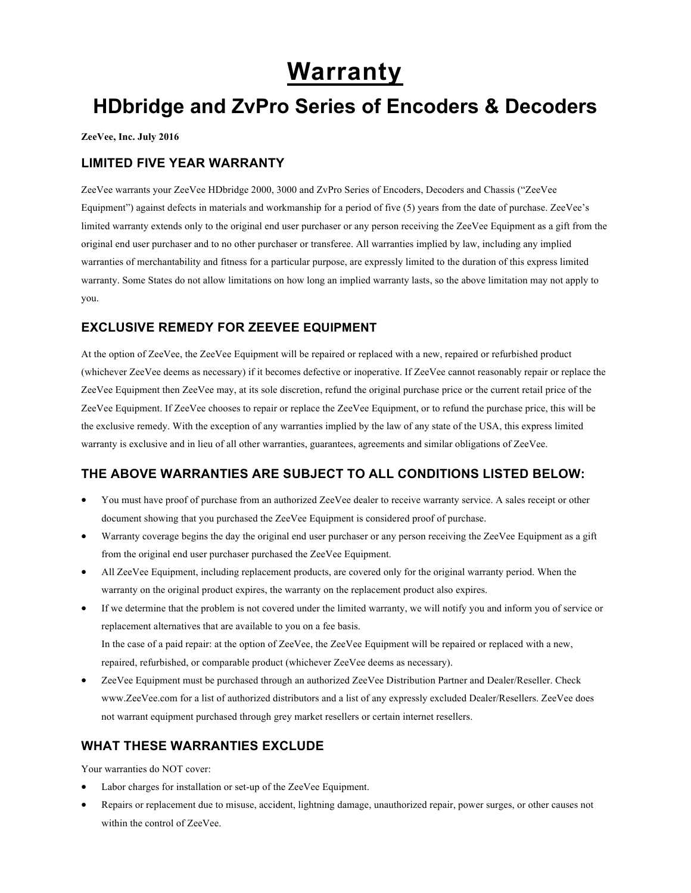# **Warranty**

## **HDbridge and ZvPro Series of Encoders & Decoders**

**ZeeVee, Inc. July 2016**

#### **LIMITED FIVE YEAR WARRANTY**

ZeeVee warrants your ZeeVee HDbridge 2000, 3000 and ZvPro Series of Encoders, Decoders and Chassis ("ZeeVee Equipment") against defects in materials and workmanship for a period of five (5) years from the date of purchase. ZeeVee's limited warranty extends only to the original end user purchaser or any person receiving the ZeeVee Equipment as a gift from the original end user purchaser and to no other purchaser or transferee. All warranties implied by law, including any implied warranties of merchantability and fitness for a particular purpose, are expressly limited to the duration of this express limited warranty. Some States do not allow limitations on how long an implied warranty lasts, so the above limitation may not apply to you.

#### **EXCLUSIVE REMEDY FOR ZEEVEE EQUIPMENT**

At the option of ZeeVee, the ZeeVee Equipment will be repaired or replaced with a new, repaired or refurbished product (whichever ZeeVee deems as necessary) if it becomes defective or inoperative. If ZeeVee cannot reasonably repair or replace the ZeeVee Equipment then ZeeVee may, at its sole discretion, refund the original purchase price or the current retail price of the ZeeVee Equipment. If ZeeVee chooses to repair or replace the ZeeVee Equipment, or to refund the purchase price, this will be the exclusive remedy. With the exception of any warranties implied by the law of any state of the USA, this express limited warranty is exclusive and in lieu of all other warranties, guarantees, agreements and similar obligations of ZeeVee.

### **THE ABOVE WARRANTIES ARE SUBJECT TO ALL CONDITIONS LISTED BELOW:**

- You must have proof of purchase from an authorized ZeeVee dealer to receive warranty service. A sales receipt or other document showing that you purchased the ZeeVee Equipment is considered proof of purchase.
- Warranty coverage begins the day the original end user purchaser or any person receiving the ZeeVee Equipment as a gift from the original end user purchaser purchased the ZeeVee Equipment.
- All ZeeVee Equipment, including replacement products, are covered only for the original warranty period. When the warranty on the original product expires, the warranty on the replacement product also expires.
- If we determine that the problem is not covered under the limited warranty, we will notify you and inform you of service or replacement alternatives that are available to you on a fee basis. In the case of a paid repair: at the option of ZeeVee, the ZeeVee Equipment will be repaired or replaced with a new, repaired, refurbished, or comparable product (whichever ZeeVee deems as necessary).
- ZeeVee Equipment must be purchased through an authorized ZeeVee Distribution Partner and Dealer/Reseller. Check www.ZeeVee.com for a list of authorized distributors and a list of any expressly excluded Dealer/Resellers. ZeeVee does not warrant equipment purchased through grey market resellers or certain internet resellers.

### **WHAT THESE WARRANTIES EXCLUDE**

Your warranties do NOT cover:

- Labor charges for installation or set-up of the ZeeVee Equipment.
- Repairs or replacement due to misuse, accident, lightning damage, unauthorized repair, power surges, or other causes not within the control of ZeeVee.